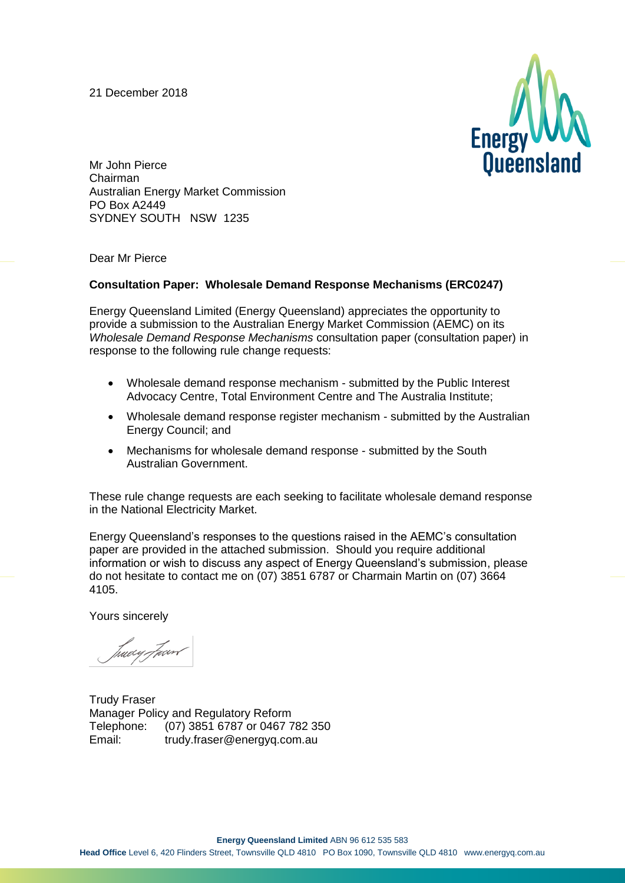21 December 2018



Mr John Pierce Chairman Australian Energy Market Commission PO Box A2449 SYDNEY SOUTH NSW 1235

Dear Mr Pierce

#### **Consultation Paper: Wholesale Demand Response Mechanisms (ERC0247)**

Energy Queensland Limited (Energy Queensland) appreciates the opportunity to provide a submission to the Australian Energy Market Commission (AEMC) on its *Wholesale Demand Response Mechanisms* consultation paper (consultation paper) in response to the following rule change requests:

- Wholesale demand response mechanism submitted by the Public Interest Advocacy Centre, Total Environment Centre and The Australia Institute;
- Wholesale demand response register mechanism submitted by the Australian Energy Council; and
- Mechanisms for wholesale demand response submitted by the South Australian Government.

These rule change requests are each seeking to facilitate wholesale demand response in the National Electricity Market.

Energy Queensland's responses to the questions raised in the AEMC's consultation paper are provided in the attached submission. Should you require additional information or wish to discuss any aspect of Energy Queensland's submission, please do not hesitate to contact me on (07) 3851 6787 or Charmain Martin on (07) 3664 4105.

Yours sincerely

tweey Joan

Trudy Fraser Manager Policy and Regulatory Reform Telephone: (07) 3851 6787 or 0467 782 350 Email: trudy.fraser@energyq.com.au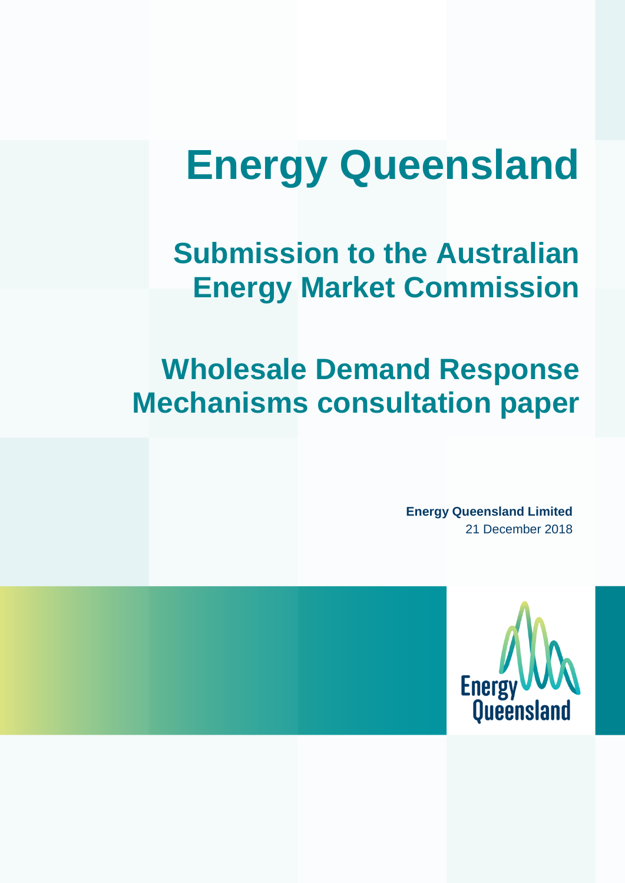# **Energy Queensland**

**Submission to the Australian Energy Market Commission**

## **Wholesale Demand Response Mechanisms consultation paper**

**Energy Queensland Limited** 21 December 2018

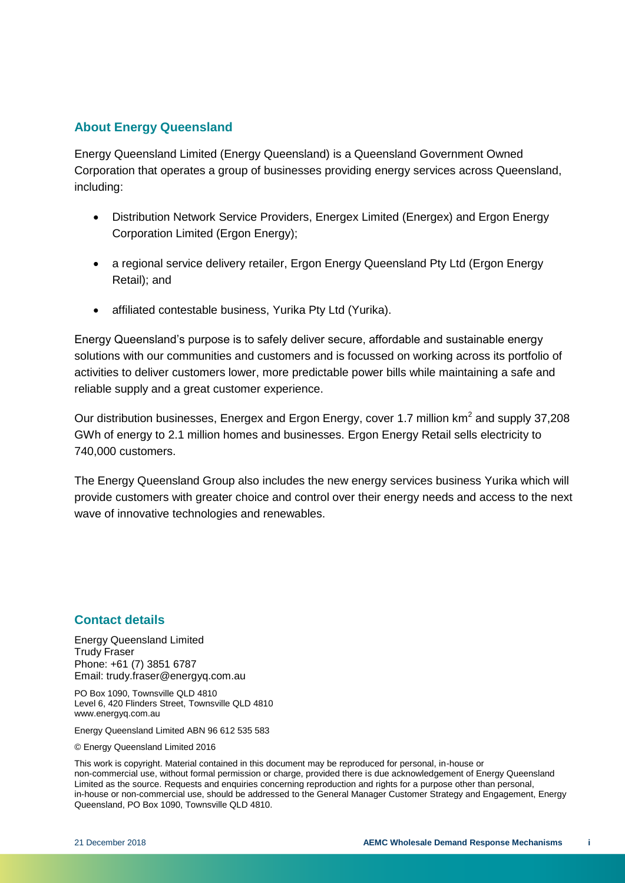#### **About Energy Queensland**

Energy Queensland Limited (Energy Queensland) is a Queensland Government Owned Corporation that operates a group of businesses providing energy services across Queensland, including:

- Distribution Network Service Providers, Energex Limited (Energex) and Ergon Energy Corporation Limited (Ergon Energy);
- a regional service delivery retailer, Ergon Energy Queensland Pty Ltd (Ergon Energy Retail); and
- affiliated contestable business, Yurika Pty Ltd (Yurika).

Energy Queensland's purpose is to safely deliver secure, affordable and sustainable energy solutions with our communities and customers and is focussed on working across its portfolio of activities to deliver customers lower, more predictable power bills while maintaining a safe and reliable supply and a great customer experience.

Our distribution businesses, Energex and Ergon Energy, cover 1.7 million  $km^2$  and supply 37,208 GWh of energy to 2.1 million homes and businesses. Ergon Energy Retail sells electricity to 740,000 customers.

The Energy Queensland Group also includes the new energy services business Yurika which will provide customers with greater choice and control over their energy needs and access to the next wave of innovative technologies and renewables.

#### **Contact details**

Energy Queensland Limited Trudy Fraser Phone: +61 (7) 3851 6787 Email: trudy.fraser@energyq.com.au

PO Box 1090, Townsville QLD 4810 Level 6, 420 Flinders Street, Townsville QLD 4810 www.energyq.com.au

Energy Queensland Limited ABN 96 612 535 583

© Energy Queensland Limited 2016

This work is copyright. Material contained in this document may be reproduced for personal, in-house or non-commercial use, without formal permission or charge, provided there is due acknowledgement of Energy Queensland Limited as the source. Requests and enquiries concerning reproduction and rights for a purpose other than personal, in-house or non-commercial use, should be addressed to the General Manager Customer Strategy and Engagement, Energy Queensland, PO Box 1090, Townsville QLD 4810.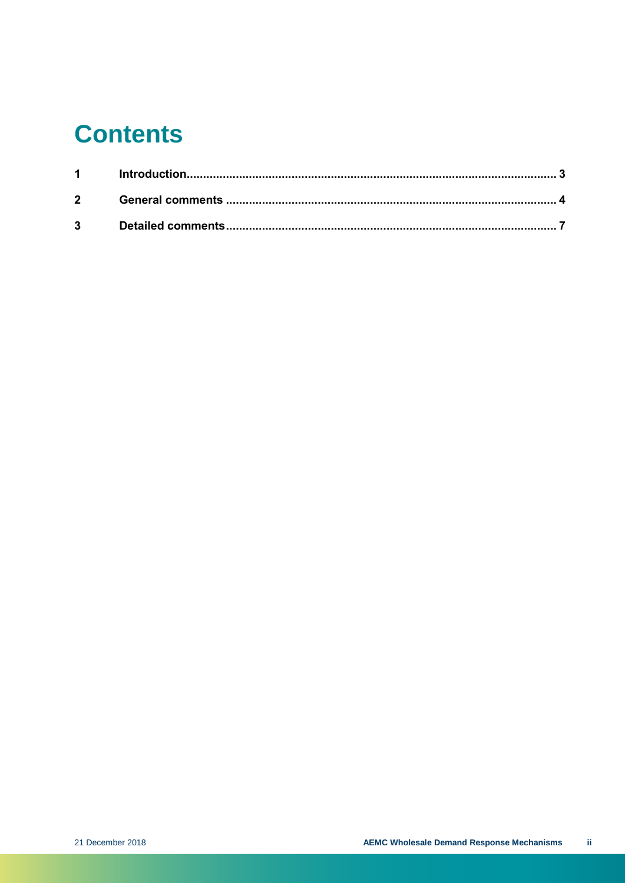## **Contents**

| $1 \quad \blacksquare$ |  |
|------------------------|--|
| $2^{\sim}$             |  |
|                        |  |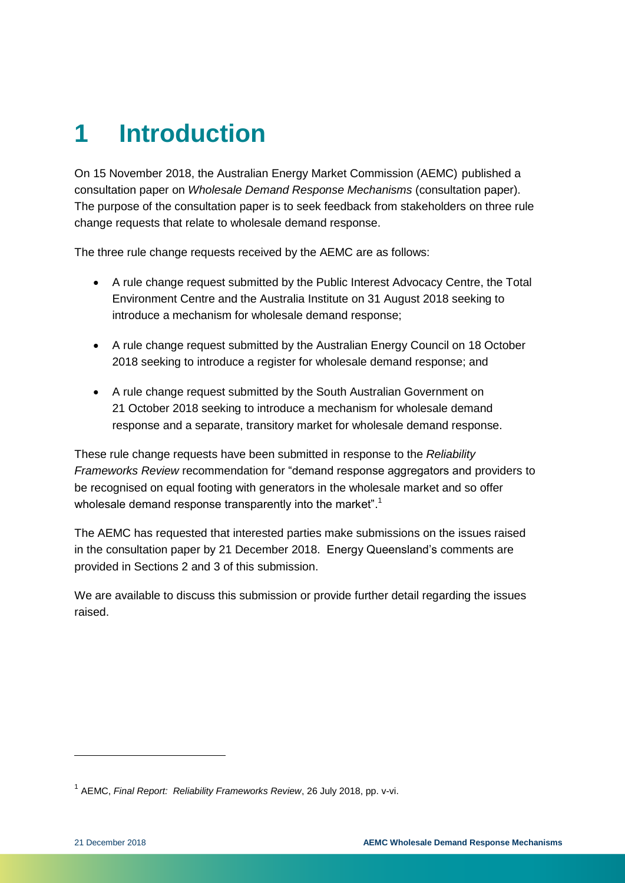## <span id="page-4-0"></span>**1 Introduction**

On 15 November 2018, the Australian Energy Market Commission (AEMC) published a consultation paper on *Wholesale Demand Response Mechanisms* (consultation paper). The purpose of the consultation paper is to seek feedback from stakeholders on three rule change requests that relate to wholesale demand response.

The three rule change requests received by the AEMC are as follows:

- A rule change request submitted by the Public Interest Advocacy Centre, the Total Environment Centre and the Australia Institute on 31 August 2018 seeking to introduce a mechanism for wholesale demand response;
- A rule change request submitted by the Australian Energy Council on 18 October 2018 seeking to introduce a register for wholesale demand response; and
- A rule change request submitted by the South Australian Government on 21 October 2018 seeking to introduce a mechanism for wholesale demand response and a separate, transitory market for wholesale demand response.

These rule change requests have been submitted in response to the *Reliability Frameworks Review* recommendation for "demand response aggregators and providers to be recognised on equal footing with generators in the wholesale market and so offer wholesale demand response transparently into the market".<sup>1</sup>

The AEMC has requested that interested parties make submissions on the issues raised in the consultation paper by 21 December 2018. Energy Queensland's comments are provided in Sections 2 and 3 of this submission.

We are available to discuss this submission or provide further detail regarding the issues raised.

<sup>&</sup>lt;sup>1</sup> AEMC, *Final Report: Reliability Frameworks Review*, 26 July 2018, pp. v-vi.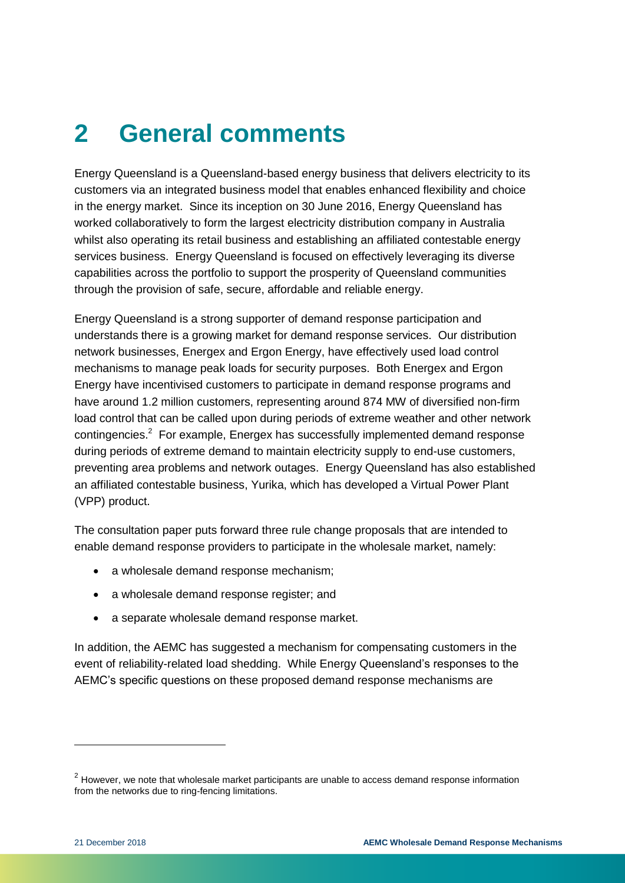## <span id="page-5-0"></span>**2 General comments**

Energy Queensland is a Queensland-based energy business that delivers electricity to its customers via an integrated business model that enables enhanced flexibility and choice in the energy market. Since its inception on 30 June 2016, Energy Queensland has worked collaboratively to form the largest electricity distribution company in Australia whilst also operating its retail business and establishing an affiliated contestable energy services business. Energy Queensland is focused on effectively leveraging its diverse capabilities across the portfolio to support the prosperity of Queensland communities through the provision of safe, secure, affordable and reliable energy.

Energy Queensland is a strong supporter of demand response participation and understands there is a growing market for demand response services. Our distribution network businesses, Energex and Ergon Energy, have effectively used load control mechanisms to manage peak loads for security purposes. Both Energex and Ergon Energy have incentivised customers to participate in demand response programs and have around 1.2 million customers, representing around 874 MW of diversified non-firm load control that can be called upon during periods of extreme weather and other network contingencies.<sup>2</sup> For example, Energex has successfully implemented demand response during periods of extreme demand to maintain electricity supply to end-use customers, preventing area problems and network outages. Energy Queensland has also established an affiliated contestable business, Yurika, which has developed a Virtual Power Plant (VPP) product.

The consultation paper puts forward three rule change proposals that are intended to enable demand response providers to participate in the wholesale market, namely:

- a wholesale demand response mechanism;
- a wholesale demand response register; and
- a separate wholesale demand response market.

In addition, the AEMC has suggested a mechanism for compensating customers in the event of reliability-related load shedding. While Energy Queensland's responses to the AEMC's specific questions on these proposed demand response mechanisms are

 $2$  However, we note that wholesale market participants are unable to access demand response information from the networks due to ring-fencing limitations.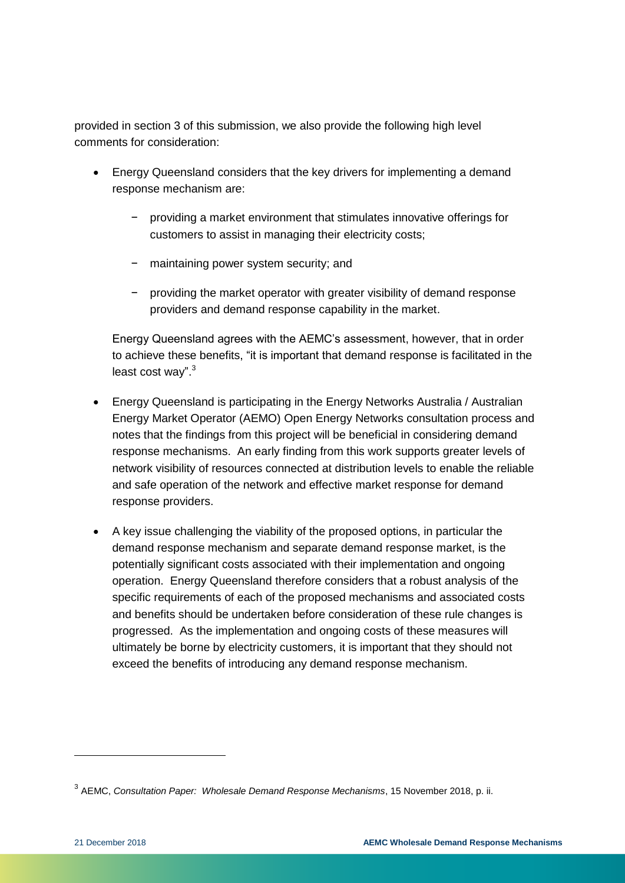provided in section 3 of this submission, we also provide the following high level comments for consideration:

- Energy Queensland considers that the key drivers for implementing a demand response mechanism are:
	- − providing a market environment that stimulates innovative offerings for customers to assist in managing their electricity costs;
	- − maintaining power system security; and
	- − providing the market operator with greater visibility of demand response providers and demand response capability in the market.

Energy Queensland agrees with the AEMC's assessment, however, that in order to achieve these benefits, "it is important that demand response is facilitated in the least cost way".<sup>3</sup>

- Energy Queensland is participating in the Energy Networks Australia / Australian Energy Market Operator (AEMO) Open Energy Networks consultation process and notes that the findings from this project will be beneficial in considering demand response mechanisms. An early finding from this work supports greater levels of network visibility of resources connected at distribution levels to enable the reliable and safe operation of the network and effective market response for demand response providers.
- A key issue challenging the viability of the proposed options, in particular the demand response mechanism and separate demand response market, is the potentially significant costs associated with their implementation and ongoing operation. Energy Queensland therefore considers that a robust analysis of the specific requirements of each of the proposed mechanisms and associated costs and benefits should be undertaken before consideration of these rule changes is progressed. As the implementation and ongoing costs of these measures will ultimately be borne by electricity customers, it is important that they should not exceed the benefits of introducing any demand response mechanism.

<sup>3</sup> AEMC, *Consultation Paper: Wholesale Demand Response Mechanisms*, 15 November 2018, p. ii.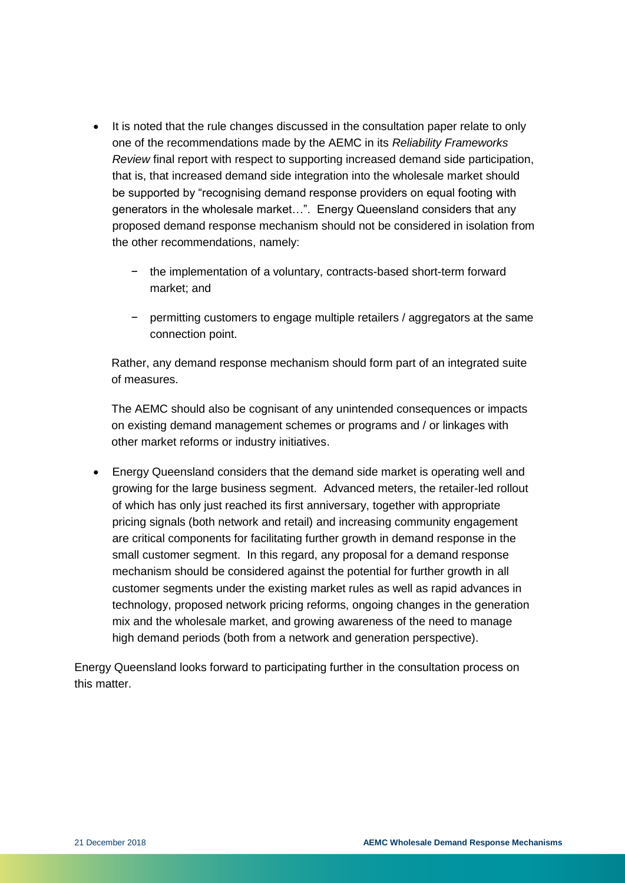- It is noted that the rule changes discussed in the consultation paper relate to only one of the recommendations made by the AEMC in its *Reliability Frameworks Review* final report with respect to supporting increased demand side participation, that is, that increased demand side integration into the wholesale market should be supported by "recognising demand response providers on equal footing with generators in the wholesale market…". Energy Queensland considers that any proposed demand response mechanism should not be considered in isolation from the other recommendations, namely:
	- − the implementation of a voluntary, contracts-based short-term forward market; and
	- − permitting customers to engage multiple retailers / aggregators at the same connection point.

Rather, any demand response mechanism should form part of an integrated suite of measures.

The AEMC should also be cognisant of any unintended consequences or impacts on existing demand management schemes or programs and / or linkages with other market reforms or industry initiatives.

 Energy Queensland considers that the demand side market is operating well and growing for the large business segment. Advanced meters, the retailer-led rollout of which has only just reached its first anniversary, together with appropriate pricing signals (both network and retail) and increasing community engagement are critical components for facilitating further growth in demand response in the small customer segment. In this regard, any proposal for a demand response mechanism should be considered against the potential for further growth in all customer segments under the existing market rules as well as rapid advances in technology, proposed network pricing reforms, ongoing changes in the generation mix and the wholesale market, and growing awareness of the need to manage high demand periods (both from a network and generation perspective).

Energy Queensland looks forward to participating further in the consultation process on this matter.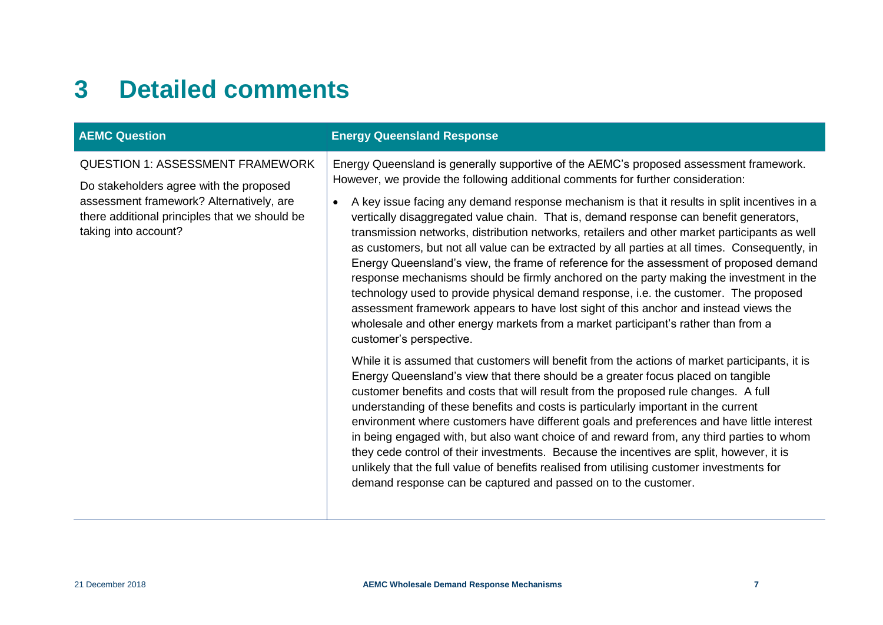### **3 Detailed comments**

<span id="page-8-0"></span>

| <b>AEMC Question</b>                                                                                                                                                                                    | <b>Energy Queensland Response</b>                                                                                                                                                                                                                                                                                                                                                                                                                                                                                                                                                                                                                                                                                                                                                                                                                                                                                                                                                                                                                                                                                                                                                                                                                                                                                                         |
|---------------------------------------------------------------------------------------------------------------------------------------------------------------------------------------------------------|-------------------------------------------------------------------------------------------------------------------------------------------------------------------------------------------------------------------------------------------------------------------------------------------------------------------------------------------------------------------------------------------------------------------------------------------------------------------------------------------------------------------------------------------------------------------------------------------------------------------------------------------------------------------------------------------------------------------------------------------------------------------------------------------------------------------------------------------------------------------------------------------------------------------------------------------------------------------------------------------------------------------------------------------------------------------------------------------------------------------------------------------------------------------------------------------------------------------------------------------------------------------------------------------------------------------------------------------|
| <b>QUESTION 1: ASSESSMENT FRAMEWORK</b><br>Do stakeholders agree with the proposed<br>assessment framework? Alternatively, are<br>there additional principles that we should be<br>taking into account? | Energy Queensland is generally supportive of the AEMC's proposed assessment framework.<br>However, we provide the following additional comments for further consideration:<br>A key issue facing any demand response mechanism is that it results in split incentives in a<br>vertically disaggregated value chain. That is, demand response can benefit generators,<br>transmission networks, distribution networks, retailers and other market participants as well<br>as customers, but not all value can be extracted by all parties at all times. Consequently, in<br>Energy Queensland's view, the frame of reference for the assessment of proposed demand<br>response mechanisms should be firmly anchored on the party making the investment in the<br>technology used to provide physical demand response, i.e. the customer. The proposed<br>assessment framework appears to have lost sight of this anchor and instead views the<br>wholesale and other energy markets from a market participant's rather than from a<br>customer's perspective.<br>While it is assumed that customers will benefit from the actions of market participants, it is<br>Energy Queensland's view that there should be a greater focus placed on tangible<br>customer benefits and costs that will result from the proposed rule changes. A full |
|                                                                                                                                                                                                         | understanding of these benefits and costs is particularly important in the current<br>environment where customers have different goals and preferences and have little interest<br>in being engaged with, but also want choice of and reward from, any third parties to whom<br>they cede control of their investments. Because the incentives are split, however, it is<br>unlikely that the full value of benefits realised from utilising customer investments for<br>demand response can be captured and passed on to the customer.                                                                                                                                                                                                                                                                                                                                                                                                                                                                                                                                                                                                                                                                                                                                                                                                   |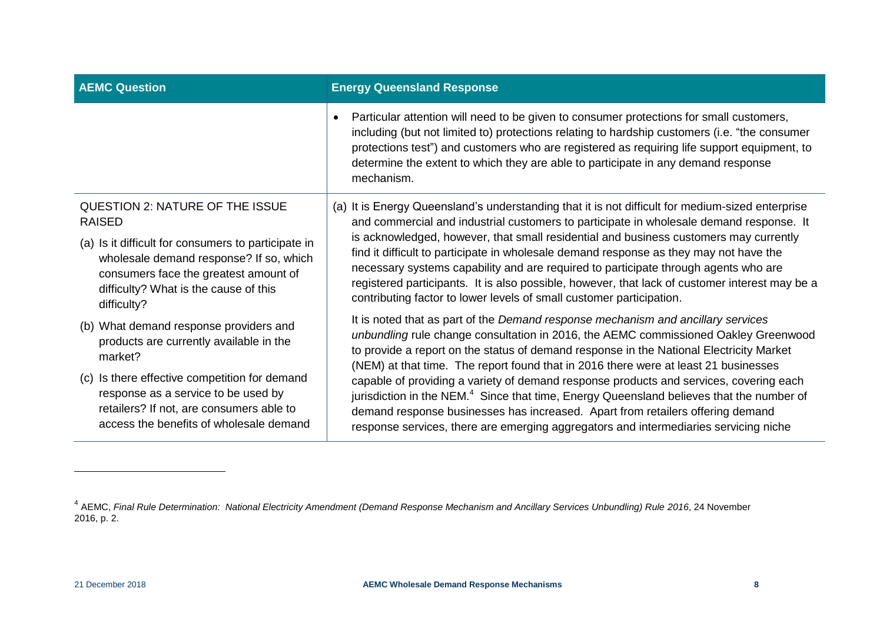| <b>AEMC Question</b>                                                                                                                                                                            | <b>Energy Queensland Response</b>                                                                                                                                                                                                                                                                                                                                                                                                                                                                                                                                                                                                                                                                                                                                                                                                                                                                                                                                                                                                                                                                                                                                                         |
|-------------------------------------------------------------------------------------------------------------------------------------------------------------------------------------------------|-------------------------------------------------------------------------------------------------------------------------------------------------------------------------------------------------------------------------------------------------------------------------------------------------------------------------------------------------------------------------------------------------------------------------------------------------------------------------------------------------------------------------------------------------------------------------------------------------------------------------------------------------------------------------------------------------------------------------------------------------------------------------------------------------------------------------------------------------------------------------------------------------------------------------------------------------------------------------------------------------------------------------------------------------------------------------------------------------------------------------------------------------------------------------------------------|
|                                                                                                                                                                                                 | Particular attention will need to be given to consumer protections for small customers,<br>including (but not limited to) protections relating to hardship customers (i.e. "the consumer<br>protections test") and customers who are registered as requiring life support equipment, to<br>determine the extent to which they are able to participate in any demand response<br>mechanism.                                                                                                                                                                                                                                                                                                                                                                                                                                                                                                                                                                                                                                                                                                                                                                                                |
| QUESTION 2: NATURE OF THE ISSUE<br><b>RAISED</b>                                                                                                                                                | (a) It is Energy Queensland's understanding that it is not difficult for medium-sized enterprise<br>and commercial and industrial customers to participate in wholesale demand response. It                                                                                                                                                                                                                                                                                                                                                                                                                                                                                                                                                                                                                                                                                                                                                                                                                                                                                                                                                                                               |
| (a) Is it difficult for consumers to participate in<br>wholesale demand response? If so, which<br>consumers face the greatest amount of<br>difficulty? What is the cause of this<br>difficulty? | is acknowledged, however, that small residential and business customers may currently<br>find it difficult to participate in wholesale demand response as they may not have the<br>necessary systems capability and are required to participate through agents who are<br>registered participants. It is also possible, however, that lack of customer interest may be a<br>contributing factor to lower levels of small customer participation.<br>It is noted that as part of the Demand response mechanism and ancillary services<br>unbundling rule change consultation in 2016, the AEMC commissioned Oakley Greenwood<br>to provide a report on the status of demand response in the National Electricity Market<br>(NEM) at that time. The report found that in 2016 there were at least 21 businesses<br>capable of providing a variety of demand response products and services, covering each<br>jurisdiction in the NEM. <sup>4</sup> Since that time, Energy Queensland believes that the number of<br>demand response businesses has increased. Apart from retailers offering demand<br>response services, there are emerging aggregators and intermediaries servicing niche |
| (b) What demand response providers and<br>products are currently available in the<br>market?                                                                                                    |                                                                                                                                                                                                                                                                                                                                                                                                                                                                                                                                                                                                                                                                                                                                                                                                                                                                                                                                                                                                                                                                                                                                                                                           |
| (c) Is there effective competition for demand<br>response as a service to be used by<br>retailers? If not, are consumers able to<br>access the benefits of wholesale demand                     |                                                                                                                                                                                                                                                                                                                                                                                                                                                                                                                                                                                                                                                                                                                                                                                                                                                                                                                                                                                                                                                                                                                                                                                           |

<sup>4</sup> AEMC, *Final Rule Determination: National Electricity Amendment (Demand Response Mechanism and Ancillary Services Unbundling) Rule 2016*, 24 November 2016, p. 2.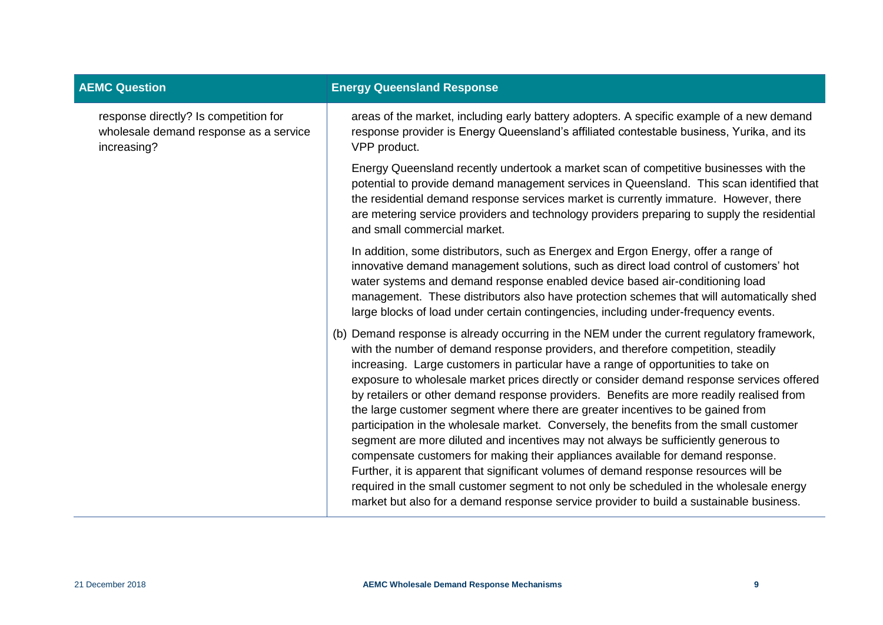| <b>AEMC Question</b>                                                                           | <b>Energy Queensland Response</b>                                                                                                                                                                                                                                                                                                                                                                                                                                                                                                                                                                                                                                                                                                                                                                                                                                                                                                                                                                                                                                                                     |
|------------------------------------------------------------------------------------------------|-------------------------------------------------------------------------------------------------------------------------------------------------------------------------------------------------------------------------------------------------------------------------------------------------------------------------------------------------------------------------------------------------------------------------------------------------------------------------------------------------------------------------------------------------------------------------------------------------------------------------------------------------------------------------------------------------------------------------------------------------------------------------------------------------------------------------------------------------------------------------------------------------------------------------------------------------------------------------------------------------------------------------------------------------------------------------------------------------------|
| response directly? Is competition for<br>wholesale demand response as a service<br>increasing? | areas of the market, including early battery adopters. A specific example of a new demand<br>response provider is Energy Queensland's affiliated contestable business, Yurika, and its<br>VPP product.                                                                                                                                                                                                                                                                                                                                                                                                                                                                                                                                                                                                                                                                                                                                                                                                                                                                                                |
|                                                                                                | Energy Queensland recently undertook a market scan of competitive businesses with the<br>potential to provide demand management services in Queensland. This scan identified that<br>the residential demand response services market is currently immature. However, there<br>are metering service providers and technology providers preparing to supply the residential<br>and small commercial market.                                                                                                                                                                                                                                                                                                                                                                                                                                                                                                                                                                                                                                                                                             |
|                                                                                                | In addition, some distributors, such as Energex and Ergon Energy, offer a range of<br>innovative demand management solutions, such as direct load control of customers' hot<br>water systems and demand response enabled device based air-conditioning load<br>management. These distributors also have protection schemes that will automatically shed<br>large blocks of load under certain contingencies, including under-frequency events.                                                                                                                                                                                                                                                                                                                                                                                                                                                                                                                                                                                                                                                        |
|                                                                                                | (b) Demand response is already occurring in the NEM under the current regulatory framework,<br>with the number of demand response providers, and therefore competition, steadily<br>increasing. Large customers in particular have a range of opportunities to take on<br>exposure to wholesale market prices directly or consider demand response services offered<br>by retailers or other demand response providers. Benefits are more readily realised from<br>the large customer segment where there are greater incentives to be gained from<br>participation in the wholesale market. Conversely, the benefits from the small customer<br>segment are more diluted and incentives may not always be sufficiently generous to<br>compensate customers for making their appliances available for demand response.<br>Further, it is apparent that significant volumes of demand response resources will be<br>required in the small customer segment to not only be scheduled in the wholesale energy<br>market but also for a demand response service provider to build a sustainable business. |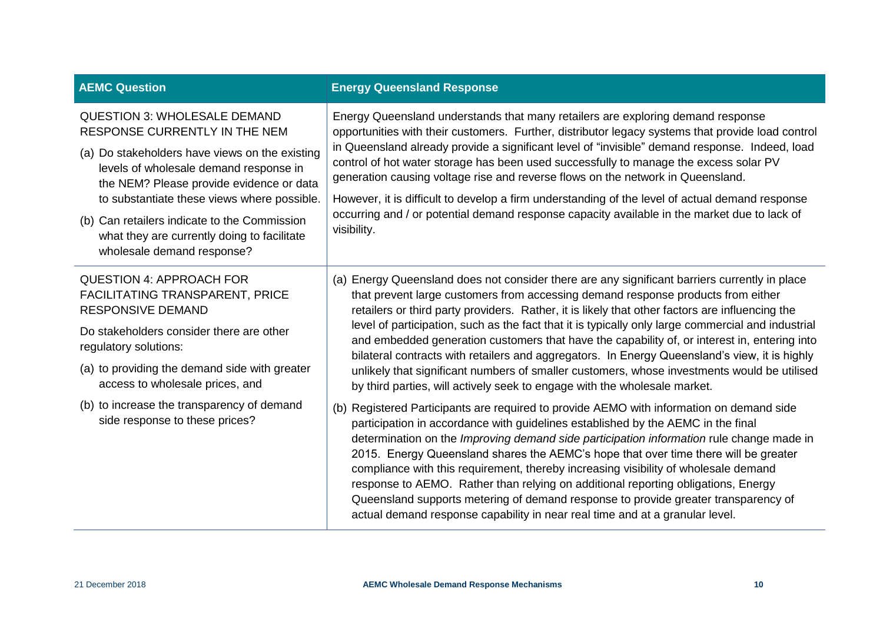| <b>AEMC Question</b>                                                                                                                                                                                                                                                                                                                                                                     | <b>Energy Queensland Response</b>                                                                                                                                                                                                                                                                                                                                                                                                                                                                                                                                                                                                                                                                                                                                       |
|------------------------------------------------------------------------------------------------------------------------------------------------------------------------------------------------------------------------------------------------------------------------------------------------------------------------------------------------------------------------------------------|-------------------------------------------------------------------------------------------------------------------------------------------------------------------------------------------------------------------------------------------------------------------------------------------------------------------------------------------------------------------------------------------------------------------------------------------------------------------------------------------------------------------------------------------------------------------------------------------------------------------------------------------------------------------------------------------------------------------------------------------------------------------------|
| <b>QUESTION 3: WHOLESALE DEMAND</b><br>RESPONSE CURRENTLY IN THE NEM<br>(a) Do stakeholders have views on the existing<br>levels of wholesale demand response in<br>the NEM? Please provide evidence or data<br>to substantiate these views where possible.<br>(b) Can retailers indicate to the Commission<br>what they are currently doing to facilitate<br>wholesale demand response? | Energy Queensland understands that many retailers are exploring demand response<br>opportunities with their customers. Further, distributor legacy systems that provide load control<br>in Queensland already provide a significant level of "invisible" demand response. Indeed, load<br>control of hot water storage has been used successfully to manage the excess solar PV<br>generation causing voltage rise and reverse flows on the network in Queensland.<br>However, it is difficult to develop a firm understanding of the level of actual demand response<br>occurring and / or potential demand response capacity available in the market due to lack of<br>visibility.                                                                                    |
| <b>QUESTION 4: APPROACH FOR</b><br>FACILITATING TRANSPARENT, PRICE<br><b>RESPONSIVE DEMAND</b><br>Do stakeholders consider there are other<br>regulatory solutions:<br>(a) to providing the demand side with greater<br>access to wholesale prices, and                                                                                                                                  | (a) Energy Queensland does not consider there are any significant barriers currently in place<br>that prevent large customers from accessing demand response products from either<br>retailers or third party providers. Rather, it is likely that other factors are influencing the<br>level of participation, such as the fact that it is typically only large commercial and industrial<br>and embedded generation customers that have the capability of, or interest in, entering into<br>bilateral contracts with retailers and aggregators. In Energy Queensland's view, it is highly<br>unlikely that significant numbers of smaller customers, whose investments would be utilised<br>by third parties, will actively seek to engage with the wholesale market. |
| (b) to increase the transparency of demand<br>side response to these prices?                                                                                                                                                                                                                                                                                                             | (b) Registered Participants are required to provide AEMO with information on demand side<br>participation in accordance with guidelines established by the AEMC in the final<br>determination on the Improving demand side participation information rule change made in<br>2015. Energy Queensland shares the AEMC's hope that over time there will be greater<br>compliance with this requirement, thereby increasing visibility of wholesale demand<br>response to AEMO. Rather than relying on additional reporting obligations, Energy<br>Queensland supports metering of demand response to provide greater transparency of<br>actual demand response capability in near real time and at a granular level.                                                       |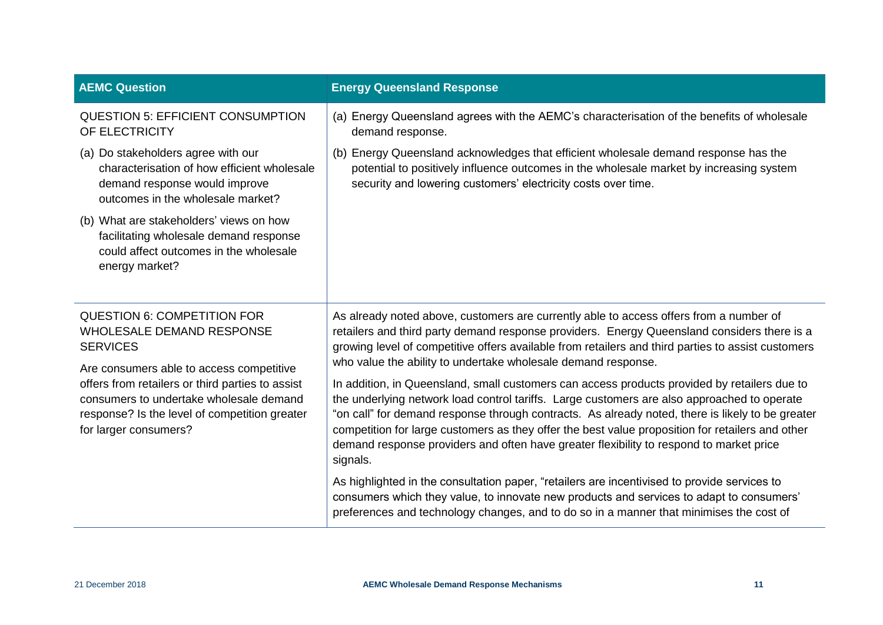| <b>AEMC Question</b>                                                                                                                                                  | <b>Energy Queensland Response</b>                                                                                                                                                                                                                                                                                                                                                                                                                                                                          |
|-----------------------------------------------------------------------------------------------------------------------------------------------------------------------|------------------------------------------------------------------------------------------------------------------------------------------------------------------------------------------------------------------------------------------------------------------------------------------------------------------------------------------------------------------------------------------------------------------------------------------------------------------------------------------------------------|
| <b>QUESTION 5: EFFICIENT CONSUMPTION</b><br>OF ELECTRICITY                                                                                                            | (a) Energy Queensland agrees with the AEMC's characterisation of the benefits of wholesale<br>demand response.                                                                                                                                                                                                                                                                                                                                                                                             |
| (a) Do stakeholders agree with our<br>characterisation of how efficient wholesale<br>demand response would improve<br>outcomes in the wholesale market?               | (b) Energy Queensland acknowledges that efficient wholesale demand response has the<br>potential to positively influence outcomes in the wholesale market by increasing system<br>security and lowering customers' electricity costs over time.                                                                                                                                                                                                                                                            |
| (b) What are stakeholders' views on how<br>facilitating wholesale demand response<br>could affect outcomes in the wholesale<br>energy market?                         |                                                                                                                                                                                                                                                                                                                                                                                                                                                                                                            |
| <b>QUESTION 6: COMPETITION FOR</b><br><b>WHOLESALE DEMAND RESPONSE</b><br><b>SERVICES</b><br>Are consumers able to access competitive                                 | As already noted above, customers are currently able to access offers from a number of<br>retailers and third party demand response providers. Energy Queensland considers there is a<br>growing level of competitive offers available from retailers and third parties to assist customers<br>who value the ability to undertake wholesale demand response.                                                                                                                                               |
| offers from retailers or third parties to assist<br>consumers to undertake wholesale demand<br>response? Is the level of competition greater<br>for larger consumers? | In addition, in Queensland, small customers can access products provided by retailers due to<br>the underlying network load control tariffs. Large customers are also approached to operate<br>"on call" for demand response through contracts. As already noted, there is likely to be greater<br>competition for large customers as they offer the best value proposition for retailers and other<br>demand response providers and often have greater flexibility to respond to market price<br>signals. |
|                                                                                                                                                                       | As highlighted in the consultation paper, "retailers are incentivised to provide services to<br>consumers which they value, to innovate new products and services to adapt to consumers'<br>preferences and technology changes, and to do so in a manner that minimises the cost of                                                                                                                                                                                                                        |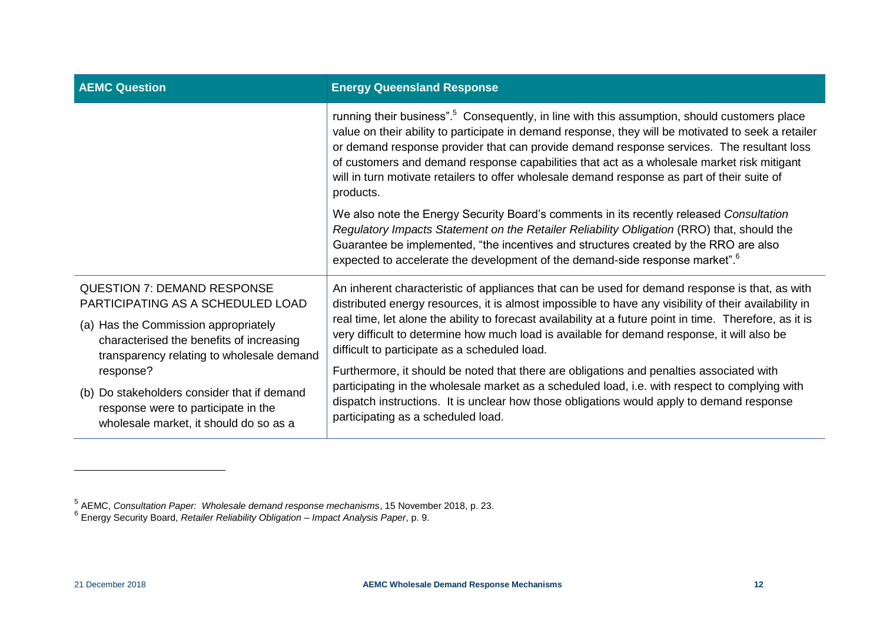| <b>AEMC Question</b>                                                                                                          | <b>Energy Queensland Response</b>                                                                                                                                                                                                                                                                                                                                                                                                                                                                                       |
|-------------------------------------------------------------------------------------------------------------------------------|-------------------------------------------------------------------------------------------------------------------------------------------------------------------------------------------------------------------------------------------------------------------------------------------------------------------------------------------------------------------------------------------------------------------------------------------------------------------------------------------------------------------------|
|                                                                                                                               | running their business". <sup>5</sup> Consequently, in line with this assumption, should customers place<br>value on their ability to participate in demand response, they will be motivated to seek a retailer<br>or demand response provider that can provide demand response services. The resultant loss<br>of customers and demand response capabilities that act as a wholesale market risk mitigant<br>will in turn motivate retailers to offer wholesale demand response as part of their suite of<br>products. |
|                                                                                                                               | We also note the Energy Security Board's comments in its recently released Consultation<br>Regulatory Impacts Statement on the Retailer Reliability Obligation (RRO) that, should the<br>Guarantee be implemented, "the incentives and structures created by the RRO are also<br>expected to accelerate the development of the demand-side response market". <sup>6</sup>                                                                                                                                               |
| <b>QUESTION 7: DEMAND RESPONSE</b><br>PARTICIPATING AS A SCHEDULED LOAD                                                       | An inherent characteristic of appliances that can be used for demand response is that, as with<br>distributed energy resources, it is almost impossible to have any visibility of their availability in                                                                                                                                                                                                                                                                                                                 |
| (a) Has the Commission appropriately<br>characterised the benefits of increasing<br>transparency relating to wholesale demand | real time, let alone the ability to forecast availability at a future point in time. Therefore, as it is<br>very difficult to determine how much load is available for demand response, it will also be<br>difficult to participate as a scheduled load.                                                                                                                                                                                                                                                                |
| response?                                                                                                                     | Furthermore, it should be noted that there are obligations and penalties associated with                                                                                                                                                                                                                                                                                                                                                                                                                                |
| (b) Do stakeholders consider that if demand<br>response were to participate in the<br>wholesale market, it should do so as a  | participating in the wholesale market as a scheduled load, i.e. with respect to complying with<br>dispatch instructions. It is unclear how those obligations would apply to demand response<br>participating as a scheduled load.                                                                                                                                                                                                                                                                                       |

<sup>&</sup>lt;sup>5</sup> AEMC, *Consultation Paper: Wholesale demand response mechanisms*, 15 November 2018, p. 23.<br><sup>6</sup> Energy Security Board, *Retailer Reliability Obligation – Impact Analysis Paper*, p. 9.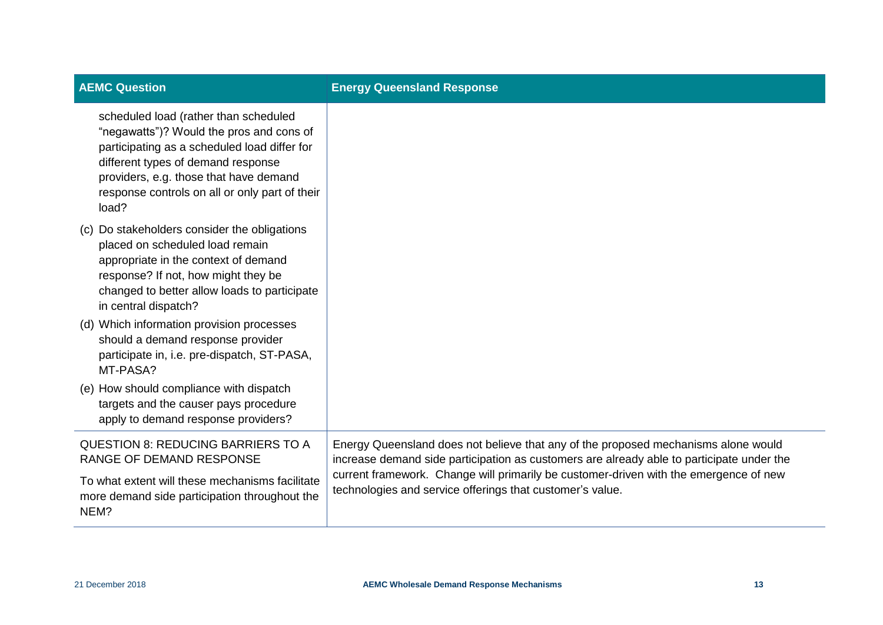| <b>AEMC Question</b>                                                                                                                                                                                                                                                         | <b>Energy Queensland Response</b>                                                                                                                                               |
|------------------------------------------------------------------------------------------------------------------------------------------------------------------------------------------------------------------------------------------------------------------------------|---------------------------------------------------------------------------------------------------------------------------------------------------------------------------------|
| scheduled load (rather than scheduled<br>"negawatts")? Would the pros and cons of<br>participating as a scheduled load differ for<br>different types of demand response<br>providers, e.g. those that have demand<br>response controls on all or only part of their<br>load? |                                                                                                                                                                                 |
| (c) Do stakeholders consider the obligations<br>placed on scheduled load remain<br>appropriate in the context of demand<br>response? If not, how might they be<br>changed to better allow loads to participate<br>in central dispatch?                                       |                                                                                                                                                                                 |
| (d) Which information provision processes<br>should a demand response provider<br>participate in, i.e. pre-dispatch, ST-PASA,<br>MT-PASA?                                                                                                                                    |                                                                                                                                                                                 |
| (e) How should compliance with dispatch<br>targets and the causer pays procedure<br>apply to demand response providers?                                                                                                                                                      |                                                                                                                                                                                 |
| <b>QUESTION 8: REDUCING BARRIERS TO A</b><br>RANGE OF DEMAND RESPONSE                                                                                                                                                                                                        | Energy Queensland does not believe that any of the proposed mechanisms alone would<br>increase demand side participation as customers are already able to participate under the |
| To what extent will these mechanisms facilitate<br>more demand side participation throughout the<br>NEM?                                                                                                                                                                     | current framework. Change will primarily be customer-driven with the emergence of new<br>technologies and service offerings that customer's value.                              |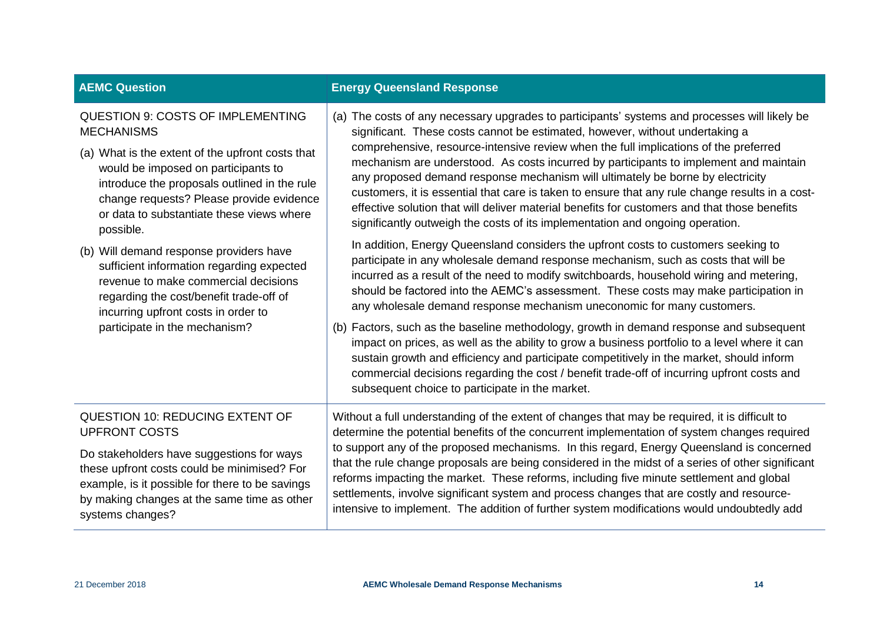| <b>AEMC Question</b>                             | <b>Energy Queensland Response</b>                                                                                                                                                                                                                                                                                                                                                                                                     |
|--------------------------------------------------|---------------------------------------------------------------------------------------------------------------------------------------------------------------------------------------------------------------------------------------------------------------------------------------------------------------------------------------------------------------------------------------------------------------------------------------|
| <b>QUESTION 9: COSTS OF IMPLEMENTING</b>         | (a) The costs of any necessary upgrades to participants' systems and processes will likely be                                                                                                                                                                                                                                                                                                                                         |
| <b>MECHANISMS</b>                                | significant. These costs cannot be estimated, however, without undertaking a                                                                                                                                                                                                                                                                                                                                                          |
| (a) What is the extent of the upfront costs that | comprehensive, resource-intensive review when the full implications of the preferred                                                                                                                                                                                                                                                                                                                                                  |
| would be imposed on participants to              | mechanism are understood. As costs incurred by participants to implement and maintain                                                                                                                                                                                                                                                                                                                                                 |
| introduce the proposals outlined in the rule     | any proposed demand response mechanism will ultimately be borne by electricity                                                                                                                                                                                                                                                                                                                                                        |
| change requests? Please provide evidence         | customers, it is essential that care is taken to ensure that any rule change results in a cost-                                                                                                                                                                                                                                                                                                                                       |
| or data to substantiate these views where        | effective solution that will deliver material benefits for customers and that those benefits                                                                                                                                                                                                                                                                                                                                          |
| possible.                                        | significantly outweigh the costs of its implementation and ongoing operation.                                                                                                                                                                                                                                                                                                                                                         |
| (b) Will demand response providers have          | In addition, Energy Queensland considers the upfront costs to customers seeking to                                                                                                                                                                                                                                                                                                                                                    |
| sufficient information regarding expected        | participate in any wholesale demand response mechanism, such as costs that will be                                                                                                                                                                                                                                                                                                                                                    |
| revenue to make commercial decisions             | incurred as a result of the need to modify switchboards, household wiring and metering,                                                                                                                                                                                                                                                                                                                                               |
| regarding the cost/benefit trade-off of          | should be factored into the AEMC's assessment. These costs may make participation in                                                                                                                                                                                                                                                                                                                                                  |
| incurring upfront costs in order to              | any wholesale demand response mechanism uneconomic for many customers.                                                                                                                                                                                                                                                                                                                                                                |
| participate in the mechanism?                    | (b) Factors, such as the baseline methodology, growth in demand response and subsequent<br>impact on prices, as well as the ability to grow a business portfolio to a level where it can<br>sustain growth and efficiency and participate competitively in the market, should inform<br>commercial decisions regarding the cost / benefit trade-off of incurring upfront costs and<br>subsequent choice to participate in the market. |
| <b>QUESTION 10: REDUCING EXTENT OF</b>           | Without a full understanding of the extent of changes that may be required, it is difficult to                                                                                                                                                                                                                                                                                                                                        |
| <b>UPFRONT COSTS</b>                             | determine the potential benefits of the concurrent implementation of system changes required                                                                                                                                                                                                                                                                                                                                          |
| Do stakeholders have suggestions for ways        | to support any of the proposed mechanisms. In this regard, Energy Queensland is concerned                                                                                                                                                                                                                                                                                                                                             |
| these upfront costs could be minimised? For      | that the rule change proposals are being considered in the midst of a series of other significant                                                                                                                                                                                                                                                                                                                                     |
| example, is it possible for there to be savings  | reforms impacting the market. These reforms, including five minute settlement and global                                                                                                                                                                                                                                                                                                                                              |
| by making changes at the same time as other      | settlements, involve significant system and process changes that are costly and resource-                                                                                                                                                                                                                                                                                                                                             |
| systems changes?                                 | intensive to implement. The addition of further system modifications would undoubtedly add                                                                                                                                                                                                                                                                                                                                            |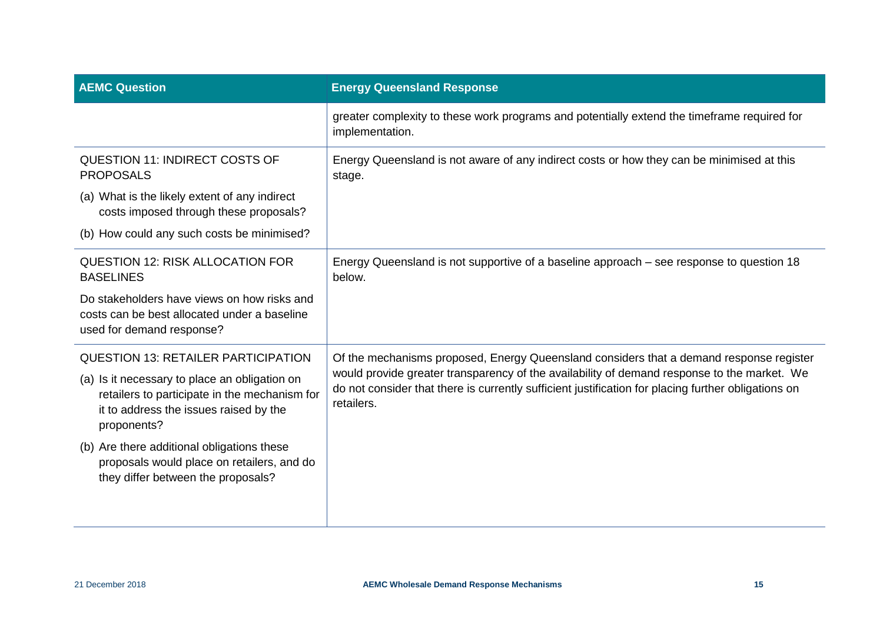| <b>AEMC Question</b>                                                                                                                                    | <b>Energy Queensland Response</b>                                                                                                                                                                                |
|---------------------------------------------------------------------------------------------------------------------------------------------------------|------------------------------------------------------------------------------------------------------------------------------------------------------------------------------------------------------------------|
|                                                                                                                                                         | greater complexity to these work programs and potentially extend the timeframe required for<br>implementation.                                                                                                   |
| <b>QUESTION 11: INDIRECT COSTS OF</b><br><b>PROPOSALS</b>                                                                                               | Energy Queensland is not aware of any indirect costs or how they can be minimised at this<br>stage.                                                                                                              |
| (a) What is the likely extent of any indirect<br>costs imposed through these proposals?                                                                 |                                                                                                                                                                                                                  |
| (b) How could any such costs be minimised?                                                                                                              |                                                                                                                                                                                                                  |
| <b>QUESTION 12: RISK ALLOCATION FOR</b><br><b>BASELINES</b>                                                                                             | Energy Queensland is not supportive of a baseline approach – see response to question 18<br>below.                                                                                                               |
| Do stakeholders have views on how risks and<br>costs can be best allocated under a baseline<br>used for demand response?                                |                                                                                                                                                                                                                  |
| <b>QUESTION 13: RETAILER PARTICIPATION</b>                                                                                                              | Of the mechanisms proposed, Energy Queensland considers that a demand response register                                                                                                                          |
| (a) Is it necessary to place an obligation on<br>retailers to participate in the mechanism for<br>it to address the issues raised by the<br>proponents? | would provide greater transparency of the availability of demand response to the market. We<br>do not consider that there is currently sufficient justification for placing further obligations on<br>retailers. |
| (b) Are there additional obligations these<br>proposals would place on retailers, and do<br>they differ between the proposals?                          |                                                                                                                                                                                                                  |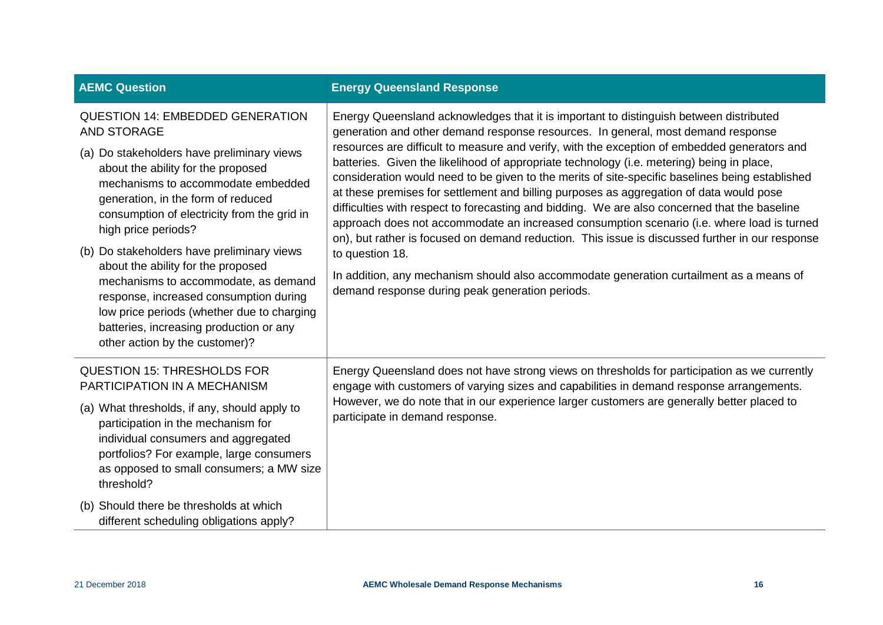| <b>AEMC Question</b>                                                                                                                                                                                                                                                                                                                                                                                                                                                                                                                                                                                 | <b>Energy Queensland Response</b>                                                                                                                                                                                                                                                                                                                                                                                                                                                                                                                                                                                                                                                                                                                                                                                                                                                                                                                                                                                                        |
|------------------------------------------------------------------------------------------------------------------------------------------------------------------------------------------------------------------------------------------------------------------------------------------------------------------------------------------------------------------------------------------------------------------------------------------------------------------------------------------------------------------------------------------------------------------------------------------------------|------------------------------------------------------------------------------------------------------------------------------------------------------------------------------------------------------------------------------------------------------------------------------------------------------------------------------------------------------------------------------------------------------------------------------------------------------------------------------------------------------------------------------------------------------------------------------------------------------------------------------------------------------------------------------------------------------------------------------------------------------------------------------------------------------------------------------------------------------------------------------------------------------------------------------------------------------------------------------------------------------------------------------------------|
| <b>QUESTION 14: EMBEDDED GENERATION</b><br><b>AND STORAGE</b><br>(a) Do stakeholders have preliminary views<br>about the ability for the proposed<br>mechanisms to accommodate embedded<br>generation, in the form of reduced<br>consumption of electricity from the grid in<br>high price periods?<br>(b) Do stakeholders have preliminary views<br>about the ability for the proposed<br>mechanisms to accommodate, as demand<br>response, increased consumption during<br>low price periods (whether due to charging<br>batteries, increasing production or any<br>other action by the customer)? | Energy Queensland acknowledges that it is important to distinguish between distributed<br>generation and other demand response resources. In general, most demand response<br>resources are difficult to measure and verify, with the exception of embedded generators and<br>batteries. Given the likelihood of appropriate technology (i.e. metering) being in place,<br>consideration would need to be given to the merits of site-specific baselines being established<br>at these premises for settlement and billing purposes as aggregation of data would pose<br>difficulties with respect to forecasting and bidding. We are also concerned that the baseline<br>approach does not accommodate an increased consumption scenario (i.e. where load is turned<br>on), but rather is focused on demand reduction. This issue is discussed further in our response<br>to question 18.<br>In addition, any mechanism should also accommodate generation curtailment as a means of<br>demand response during peak generation periods. |
| <b>QUESTION 15: THRESHOLDS FOR</b><br>PARTICIPATION IN A MECHANISM<br>(a) What thresholds, if any, should apply to<br>participation in the mechanism for<br>individual consumers and aggregated<br>portfolios? For example, large consumers<br>as opposed to small consumers; a MW size<br>threshold?<br>(b) Should there be thresholds at which                                                                                                                                                                                                                                                     | Energy Queensland does not have strong views on thresholds for participation as we currently<br>engage with customers of varying sizes and capabilities in demand response arrangements.<br>However, we do note that in our experience larger customers are generally better placed to<br>participate in demand response.                                                                                                                                                                                                                                                                                                                                                                                                                                                                                                                                                                                                                                                                                                                |
| different scheduling obligations apply?                                                                                                                                                                                                                                                                                                                                                                                                                                                                                                                                                              |                                                                                                                                                                                                                                                                                                                                                                                                                                                                                                                                                                                                                                                                                                                                                                                                                                                                                                                                                                                                                                          |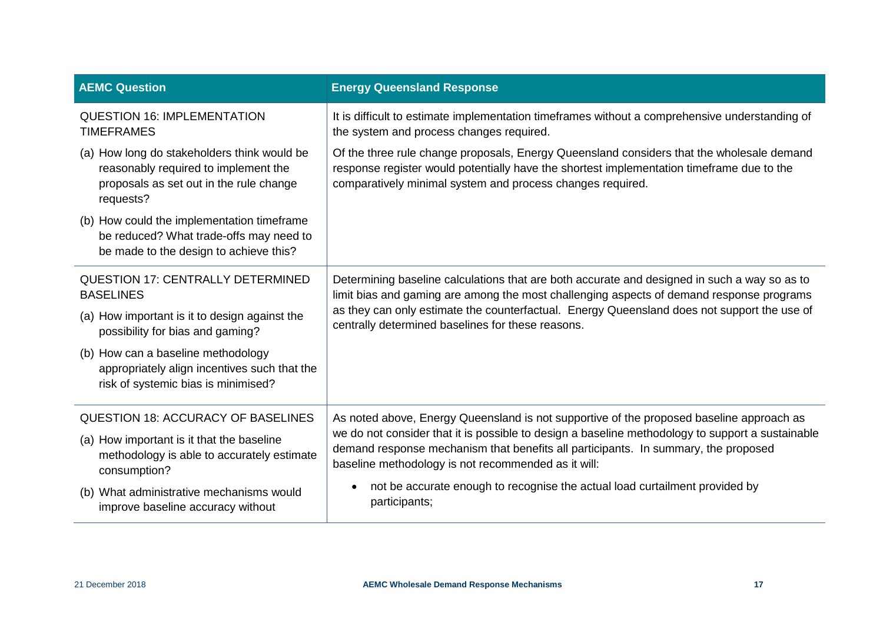| <b>AEMC Question</b>                                                                                                                        | <b>Energy Queensland Response</b>                                                                                                                                                                                                                                                                                                            |
|---------------------------------------------------------------------------------------------------------------------------------------------|----------------------------------------------------------------------------------------------------------------------------------------------------------------------------------------------------------------------------------------------------------------------------------------------------------------------------------------------|
| <b>QUESTION 16: IMPLEMENTATION</b><br><b>TIMEFRAMES</b>                                                                                     | It is difficult to estimate implementation timeframes without a comprehensive understanding of<br>the system and process changes required.                                                                                                                                                                                                   |
| (a) How long do stakeholders think would be<br>reasonably required to implement the<br>proposals as set out in the rule change<br>requests? | Of the three rule change proposals, Energy Queensland considers that the wholesale demand<br>response register would potentially have the shortest implementation timeframe due to the<br>comparatively minimal system and process changes required.                                                                                         |
| (b) How could the implementation timeframe<br>be reduced? What trade-offs may need to<br>be made to the design to achieve this?             |                                                                                                                                                                                                                                                                                                                                              |
| <b>QUESTION 17: CENTRALLY DETERMINED</b><br><b>BASELINES</b>                                                                                | Determining baseline calculations that are both accurate and designed in such a way so as to<br>limit bias and gaming are among the most challenging aspects of demand response programs<br>as they can only estimate the counterfactual. Energy Queensland does not support the use of<br>centrally determined baselines for these reasons. |
| (a) How important is it to design against the<br>possibility for bias and gaming?                                                           |                                                                                                                                                                                                                                                                                                                                              |
| (b) How can a baseline methodology<br>appropriately align incentives such that the<br>risk of systemic bias is minimised?                   |                                                                                                                                                                                                                                                                                                                                              |
| <b>QUESTION 18: ACCURACY OF BASELINES</b>                                                                                                   | As noted above, Energy Queensland is not supportive of the proposed baseline approach as                                                                                                                                                                                                                                                     |
| (a) How important is it that the baseline<br>methodology is able to accurately estimate<br>consumption?                                     | we do not consider that it is possible to design a baseline methodology to support a sustainable<br>demand response mechanism that benefits all participants. In summary, the proposed<br>baseline methodology is not recommended as it will:                                                                                                |
| (b) What administrative mechanisms would<br>improve baseline accuracy without                                                               | not be accurate enough to recognise the actual load curtailment provided by<br>participants;                                                                                                                                                                                                                                                 |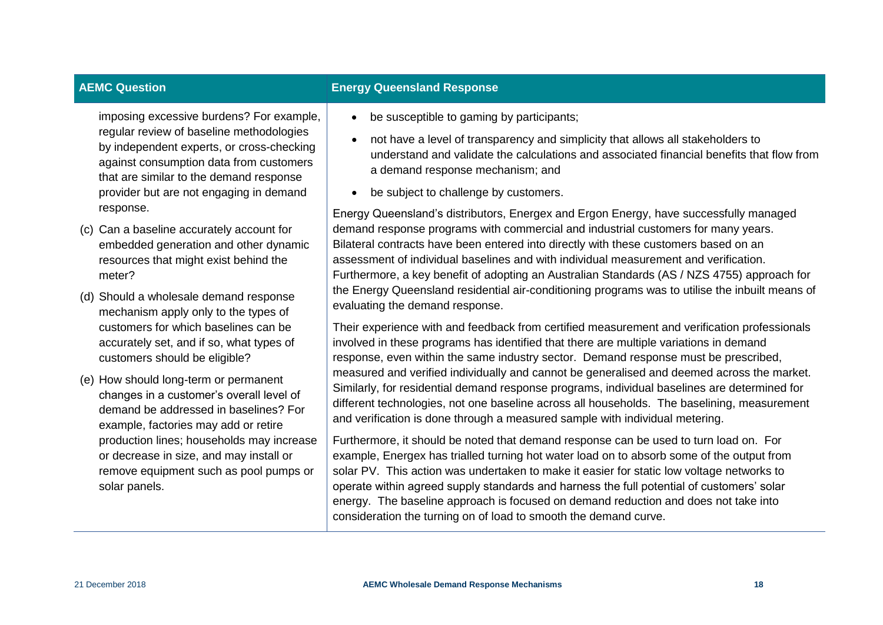#### **AEMC Question Energy Queensland Response**

- imposing excessive burdens? For example, regular review of baseline methodologies by independent experts, or cross-checking against consumption data from customers that are similar to the demand response provider but are not engaging in demand response.
- (c) Can a baseline accurately account for embedded generation and other dynamic resources that might exist behind the meter?
- (d) Should a wholesale demand response mechanism apply only to the types of customers for which baselines can be accurately set, and if so, what types of customers should be eligible?
- (e) How should long-term or permanent changes in a customer's overall level of demand be addressed in baselines? For example, factories may add or retire production lines; households may increase or decrease in size, and may install or remove equipment such as pool pumps or solar panels.
- be susceptible to gaming by participants;
- not have a level of transparency and simplicity that allows all stakeholders to understand and validate the calculations and associated financial benefits that flow from a demand response mechanism; and
- be subject to challenge by customers.

Energy Queensland's distributors, Energex and Ergon Energy, have successfully managed demand response programs with commercial and industrial customers for many years. Bilateral contracts have been entered into directly with these customers based on an assessment of individual baselines and with individual measurement and verification. Furthermore, a key benefit of adopting an Australian Standards (AS / NZS 4755) approach for the Energy Queensland residential air-conditioning programs was to utilise the inbuilt means of evaluating the demand response.

Their experience with and feedback from certified measurement and verification professionals involved in these programs has identified that there are multiple variations in demand response, even within the same industry sector. Demand response must be prescribed, measured and verified individually and cannot be generalised and deemed across the market. Similarly, for residential demand response programs, individual baselines are determined for different technologies, not one baseline across all households. The baselining, measurement and verification is done through a measured sample with individual metering.

Furthermore, it should be noted that demand response can be used to turn load on. For example, Energex has trialled turning hot water load on to absorb some of the output from solar PV. This action was undertaken to make it easier for static low voltage networks to operate within agreed supply standards and harness the full potential of customers' solar energy. The baseline approach is focused on demand reduction and does not take into consideration the turning on of load to smooth the demand curve.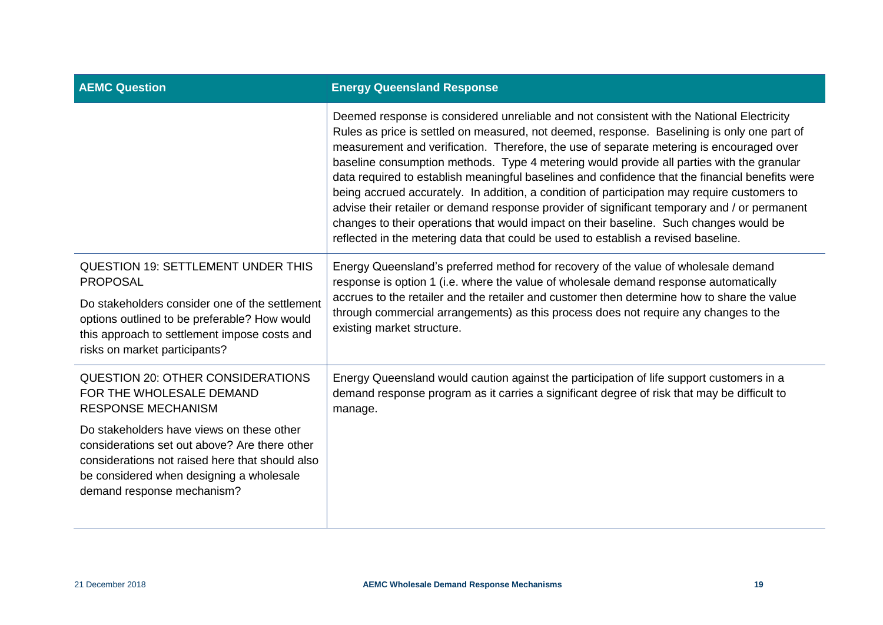| <b>AEMC Question</b>                                                                                                                                                                                                    | <b>Energy Queensland Response</b>                                                                                                                                                                                                                                                                                                                                                                                                                                                                                                                                                                                                                                                                                                                                                                                                                                     |
|-------------------------------------------------------------------------------------------------------------------------------------------------------------------------------------------------------------------------|-----------------------------------------------------------------------------------------------------------------------------------------------------------------------------------------------------------------------------------------------------------------------------------------------------------------------------------------------------------------------------------------------------------------------------------------------------------------------------------------------------------------------------------------------------------------------------------------------------------------------------------------------------------------------------------------------------------------------------------------------------------------------------------------------------------------------------------------------------------------------|
|                                                                                                                                                                                                                         | Deemed response is considered unreliable and not consistent with the National Electricity<br>Rules as price is settled on measured, not deemed, response. Baselining is only one part of<br>measurement and verification. Therefore, the use of separate metering is encouraged over<br>baseline consumption methods. Type 4 metering would provide all parties with the granular<br>data required to establish meaningful baselines and confidence that the financial benefits were<br>being accrued accurately. In addition, a condition of participation may require customers to<br>advise their retailer or demand response provider of significant temporary and / or permanent<br>changes to their operations that would impact on their baseline. Such changes would be<br>reflected in the metering data that could be used to establish a revised baseline. |
| <b>QUESTION 19: SETTLEMENT UNDER THIS</b><br><b>PROPOSAL</b>                                                                                                                                                            | Energy Queensland's preferred method for recovery of the value of wholesale demand<br>response is option 1 (i.e. where the value of wholesale demand response automatically<br>accrues to the retailer and the retailer and customer then determine how to share the value<br>through commercial arrangements) as this process does not require any changes to the<br>existing market structure.                                                                                                                                                                                                                                                                                                                                                                                                                                                                      |
| Do stakeholders consider one of the settlement<br>options outlined to be preferable? How would<br>this approach to settlement impose costs and<br>risks on market participants?                                         |                                                                                                                                                                                                                                                                                                                                                                                                                                                                                                                                                                                                                                                                                                                                                                                                                                                                       |
| <b>QUESTION 20: OTHER CONSIDERATIONS</b><br>FOR THE WHOLESALE DEMAND<br><b>RESPONSE MECHANISM</b>                                                                                                                       | Energy Queensland would caution against the participation of life support customers in a<br>demand response program as it carries a significant degree of risk that may be difficult to<br>manage.                                                                                                                                                                                                                                                                                                                                                                                                                                                                                                                                                                                                                                                                    |
| Do stakeholders have views on these other<br>considerations set out above? Are there other<br>considerations not raised here that should also<br>be considered when designing a wholesale<br>demand response mechanism? |                                                                                                                                                                                                                                                                                                                                                                                                                                                                                                                                                                                                                                                                                                                                                                                                                                                                       |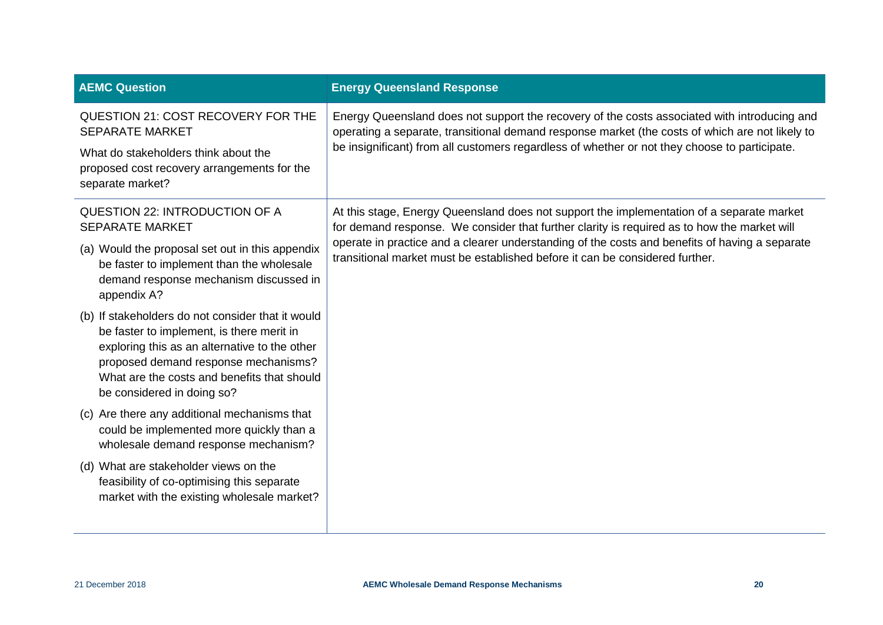| <b>AEMC Question</b>                                                                                                                                                                                                                                                 | <b>Energy Queensland Response</b>                                                                                                                                                                                                                                                                                                                                          |
|----------------------------------------------------------------------------------------------------------------------------------------------------------------------------------------------------------------------------------------------------------------------|----------------------------------------------------------------------------------------------------------------------------------------------------------------------------------------------------------------------------------------------------------------------------------------------------------------------------------------------------------------------------|
| QUESTION 21: COST RECOVERY FOR THE<br><b>SEPARATE MARKET</b>                                                                                                                                                                                                         | Energy Queensland does not support the recovery of the costs associated with introducing and<br>operating a separate, transitional demand response market (the costs of which are not likely to<br>be insignificant) from all customers regardless of whether or not they choose to participate.                                                                           |
| What do stakeholders think about the<br>proposed cost recovery arrangements for the<br>separate market?                                                                                                                                                              |                                                                                                                                                                                                                                                                                                                                                                            |
| QUESTION 22: INTRODUCTION OF A<br><b>SEPARATE MARKET</b>                                                                                                                                                                                                             | At this stage, Energy Queensland does not support the implementation of a separate market<br>for demand response. We consider that further clarity is required as to how the market will<br>operate in practice and a clearer understanding of the costs and benefits of having a separate<br>transitional market must be established before it can be considered further. |
| (a) Would the proposal set out in this appendix<br>be faster to implement than the wholesale<br>demand response mechanism discussed in<br>appendix A?                                                                                                                |                                                                                                                                                                                                                                                                                                                                                                            |
| (b) If stakeholders do not consider that it would<br>be faster to implement, is there merit in<br>exploring this as an alternative to the other<br>proposed demand response mechanisms?<br>What are the costs and benefits that should<br>be considered in doing so? |                                                                                                                                                                                                                                                                                                                                                                            |
| (c) Are there any additional mechanisms that<br>could be implemented more quickly than a<br>wholesale demand response mechanism?                                                                                                                                     |                                                                                                                                                                                                                                                                                                                                                                            |
| (d) What are stakeholder views on the<br>feasibility of co-optimising this separate<br>market with the existing wholesale market?                                                                                                                                    |                                                                                                                                                                                                                                                                                                                                                                            |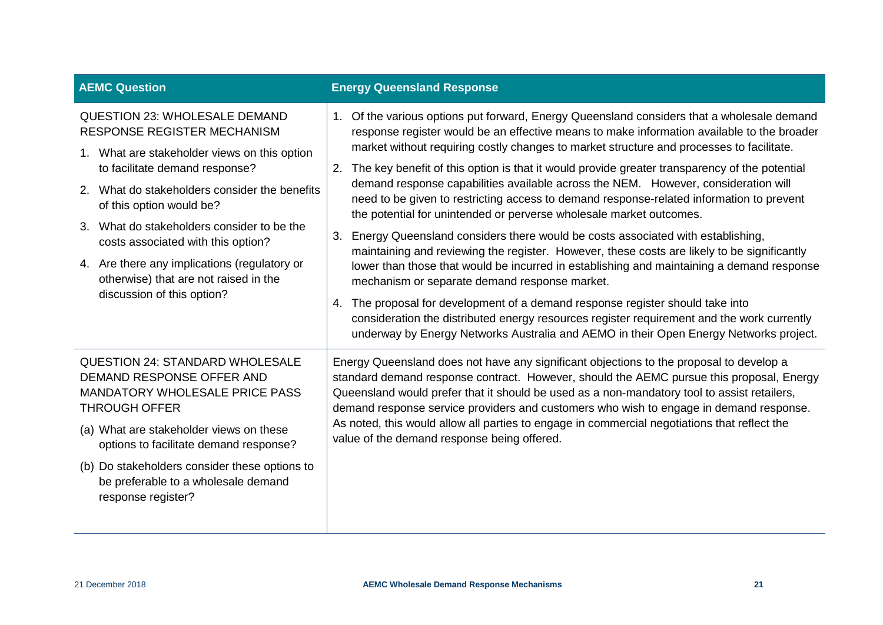| <b>AEMC Question</b>                                                                                                                                                                                                                                                                                                                                                                                                                                 | <b>Energy Queensland Response</b>                                                                                                                                                                                                                                                                                                                                                                                                                                                                                                                                                                                                                                                                                                                                                                                                                                                                                                                                                                                                                                                                                                                                                                                                                                        |
|------------------------------------------------------------------------------------------------------------------------------------------------------------------------------------------------------------------------------------------------------------------------------------------------------------------------------------------------------------------------------------------------------------------------------------------------------|--------------------------------------------------------------------------------------------------------------------------------------------------------------------------------------------------------------------------------------------------------------------------------------------------------------------------------------------------------------------------------------------------------------------------------------------------------------------------------------------------------------------------------------------------------------------------------------------------------------------------------------------------------------------------------------------------------------------------------------------------------------------------------------------------------------------------------------------------------------------------------------------------------------------------------------------------------------------------------------------------------------------------------------------------------------------------------------------------------------------------------------------------------------------------------------------------------------------------------------------------------------------------|
| <b>QUESTION 23: WHOLESALE DEMAND</b><br><b>RESPONSE REGISTER MECHANISM</b><br>1. What are stakeholder views on this option<br>to facilitate demand response?<br>2. What do stakeholders consider the benefits<br>of this option would be?<br>3. What do stakeholders consider to be the<br>costs associated with this option?<br>4. Are there any implications (regulatory or<br>otherwise) that are not raised in the<br>discussion of this option? | Of the various options put forward, Energy Queensland considers that a wholesale demand<br>1.<br>response register would be an effective means to make information available to the broader<br>market without requiring costly changes to market structure and processes to facilitate.<br>The key benefit of this option is that it would provide greater transparency of the potential<br>2.<br>demand response capabilities available across the NEM. However, consideration will<br>need to be given to restricting access to demand response-related information to prevent<br>the potential for unintended or perverse wholesale market outcomes.<br>Energy Queensland considers there would be costs associated with establishing,<br>3.<br>maintaining and reviewing the register. However, these costs are likely to be significantly<br>lower than those that would be incurred in establishing and maintaining a demand response<br>mechanism or separate demand response market.<br>The proposal for development of a demand response register should take into<br>4.<br>consideration the distributed energy resources register requirement and the work currently<br>underway by Energy Networks Australia and AEMO in their Open Energy Networks project. |
| <b>QUESTION 24: STANDARD WHOLESALE</b><br>DEMAND RESPONSE OFFER AND<br>MANDATORY WHOLESALE PRICE PASS<br><b>THROUGH OFFER</b><br>(a) What are stakeholder views on these<br>options to facilitate demand response?<br>(b) Do stakeholders consider these options to<br>be preferable to a wholesale demand<br>response register?                                                                                                                     | Energy Queensland does not have any significant objections to the proposal to develop a<br>standard demand response contract. However, should the AEMC pursue this proposal, Energy<br>Queensland would prefer that it should be used as a non-mandatory tool to assist retailers,<br>demand response service providers and customers who wish to engage in demand response.<br>As noted, this would allow all parties to engage in commercial negotiations that reflect the<br>value of the demand response being offered.                                                                                                                                                                                                                                                                                                                                                                                                                                                                                                                                                                                                                                                                                                                                              |